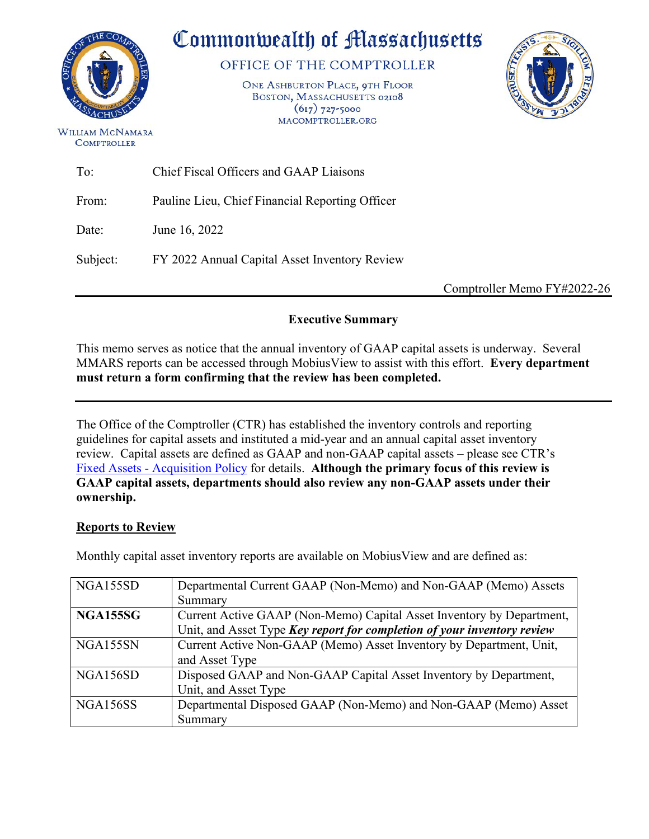

# Commonwealth of Massachusetts

OFFICE OF THE COMPTROLLER

ONE ASHBURTON PLACE, 9TH FLOOR BOSTON, MASSACHUSETTS 02108  $(617)$  727-5000 MACOMPTROLLER.ORG



WILLIAM MCNAMARA **COMPTROLLER** 

| To:      | Chief Fiscal Officers and GAAP Liaisons         |
|----------|-------------------------------------------------|
| From:    | Pauline Lieu, Chief Financial Reporting Officer |
| Date:    | June 16, 2022                                   |
| Subject: | FY 2022 Annual Capital Asset Inventory Review   |
|          |                                                 |

Comptroller Memo FY#2022-26

#### **Executive Summary**

This memo serves as notice that the annual inventory of GAAP capital assets is underway. Several MMARS reports can be accessed through MobiusView to assist with this effort. **Every department must return a form confirming that the review has been completed.** 

The Office of the Comptroller (CTR) has established the inventory controls and reporting guidelines for capital assets and instituted a mid-year and an annual capital asset inventory review. Capital assets are defined as GAAP and non-GAAP capital assets – please see CTR's [Fixed Assets - Acquisition Policy](https://public.powerdms.com/MAComptroller/documents/1777862) for details. **Although the primary focus of this review is GAAP capital assets, departments should also review any non-GAAP assets under their ownership.**

#### **Reports to Review**

Monthly capital asset inventory reports are available on MobiusView and are defined as:

| NGA155SD        | Departmental Current GAAP (Non-Memo) and Non-GAAP (Memo) Assets         |
|-----------------|-------------------------------------------------------------------------|
|                 | Summary                                                                 |
| <b>NGA155SG</b> | Current Active GAAP (Non-Memo) Capital Asset Inventory by Department,   |
|                 | Unit, and Asset Type Key report for completion of your inventory review |
| NGA155SN        | Current Active Non-GAAP (Memo) Asset Inventory by Department, Unit,     |
|                 | and Asset Type                                                          |
| NGA156SD        | Disposed GAAP and Non-GAAP Capital Asset Inventory by Department,       |
|                 | Unit, and Asset Type                                                    |
| NGA156SS        | Departmental Disposed GAAP (Non-Memo) and Non-GAAP (Memo) Asset         |
|                 | Summary                                                                 |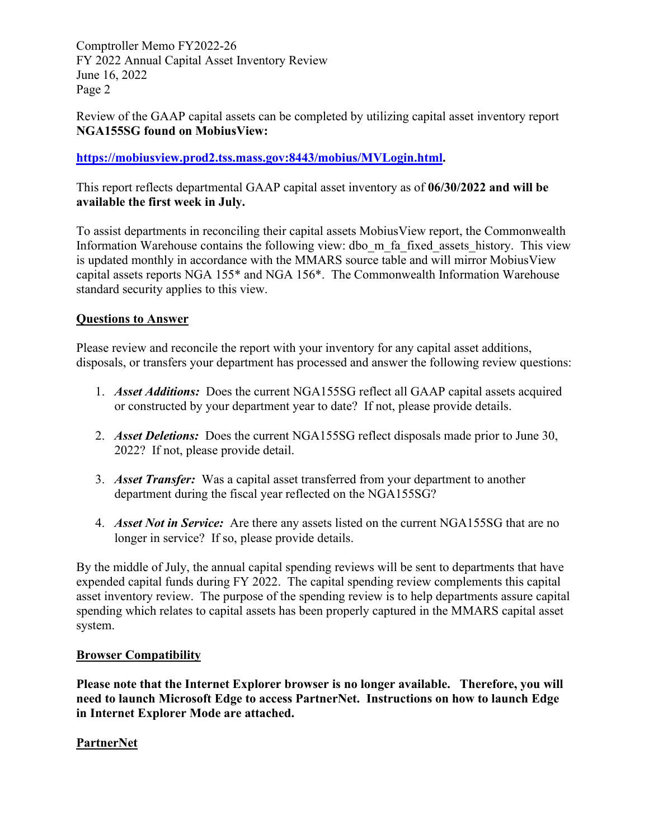Comptroller Memo FY2022-26 FY 2022 Annual Capital Asset Inventory Review June 16, 2022 Page 2

Review of the GAAP capital assets can be completed by utilizing capital asset inventory report **NGA155SG found on MobiusView:**

#### **[https://mobiusview.prod2.tss.mass.gov:8443/mobius/MVLogin.html.](https://mobiusview.prod2.tss.mass.gov:8443/mobius/MVLogin.html)**

This report reflects departmental GAAP capital asset inventory as of **06/30/2022 and will be available the first week in July.** 

To assist departments in reconciling their capital assets MobiusView report, the Commonwealth Information Warehouse contains the following view: dbo\_m\_fa\_fixed\_assets\_history. This view is updated monthly in accordance with the MMARS source table and will mirror MobiusView capital assets reports NGA 155\* and NGA 156\*. The Commonwealth Information Warehouse standard security applies to this view.

#### **Questions to Answer**

Please review and reconcile the report with your inventory for any capital asset additions, disposals, or transfers your department has processed and answer the following review questions:

- 1. *Asset Additions:* Does the current NGA155SG reflect all GAAP capital assets acquired or constructed by your department year to date? If not, please provide details.
- 2. *Asset Deletions:* Does the current NGA155SG reflect disposals made prior to June 30, 2022? If not, please provide detail.
- 3. *Asset Transfer:* Was a capital asset transferred from your department to another department during the fiscal year reflected on the NGA155SG?
- 4. *Asset Not in Service:* Are there any assets listed on the current NGA155SG that are no longer in service? If so, please provide details.

By the middle of July, the annual capital spending reviews will be sent to departments that have expended capital funds during FY 2022. The capital spending review complements this capital asset inventory review. The purpose of the spending review is to help departments assure capital spending which relates to capital assets has been properly captured in the MMARS capital asset system.

#### **Browser Compatibility**

**Please note that the Internet Explorer browser is no longer available. Therefore, you will need to launch Microsoft Edge to access PartnerNet. Instructions on how to launch Edge in Internet Explorer Mode are attached.**

#### **PartnerNet**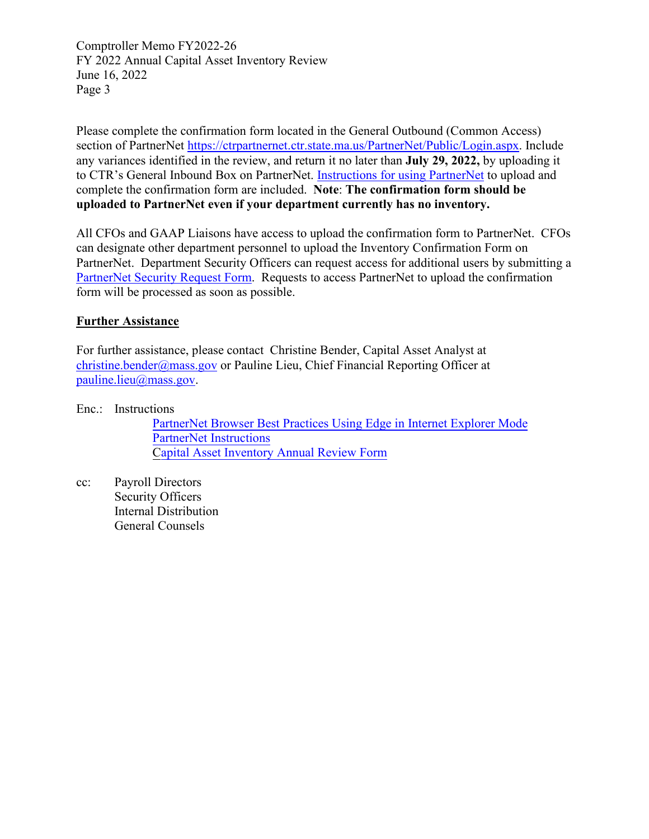Comptroller Memo FY2022-26 FY 2022 Annual Capital Asset Inventory Review June 16, 2022 Page 3

Please complete the confirmation form located in the General Outbound (Common Access) section of PartnerNet [https://ctrpartnernet.ctr.state.ma.us/PartnerNet/Public/Login.aspx.](https://ctrpartnernet.ctr.state.ma.us/PartnerNet/Public/Login.aspx) Include any variances identified in the review, and return it no later than **July 29, 2022,** by uploading it to CTR's General Inbound Box on PartnerNet. [Instructions for using PartnerNet](#page-6-0) to upload and complete the confirmation form are included. **Note**: **The confirmation form should be uploaded to PartnerNet even if your department currently has no inventory.**

All CFOs and GAAP Liaisons have access to upload the confirmation form to PartnerNet. CFOs can designate other department personnel to upload the Inventory Confirmation Form on PartnerNet. Department Security Officers can request access for additional users by submitting a [PartnerNet Security Request Form.](https://www.macomptroller.org/wp-content/uploads/form_partnernet-security.docx) Requests to access PartnerNet to upload the confirmation form will be processed as soon as possible.

#### **Further Assistance**

For further assistance, please contact Christine Bender, Capital Asset Analyst at [christine.bender@mass.gov](mailto:christine.bender@mass.gov) or Pauline Lieu, Chief Financial Reporting Officer at [pauline.lieu@mass.gov.](mailto:pauline.lieu@mass.gov)

Enc.: Instructions

PartnerNet Browser Best [Practices Using Edge in Internet Explorer Mode](#page-3-0) PartnerNet [Instructions](#page-6-0) Capital Asset Inventory Annual Review Form

cc: Payroll Directors Security Officers Internal Distribution General Counsels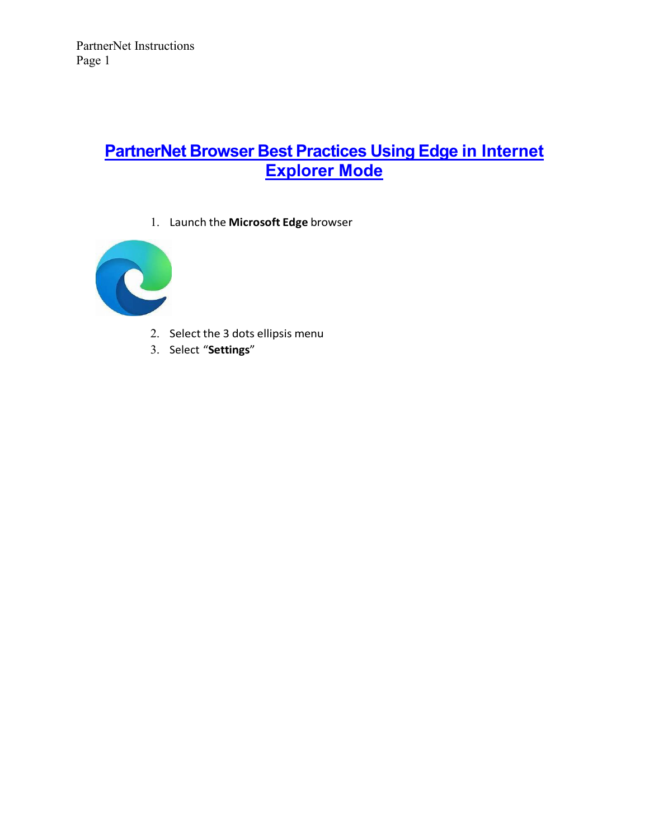## **PartnerNet Browser Best Practices Using [Edge in Internet](#page-3-0)  [Explorer Mode](#page-3-0)**

1. Launch the **Microsoft Edge** browser

<span id="page-3-0"></span>

- 2. Select the 3 dots ellipsis menu
- 3. Select "**Settings**"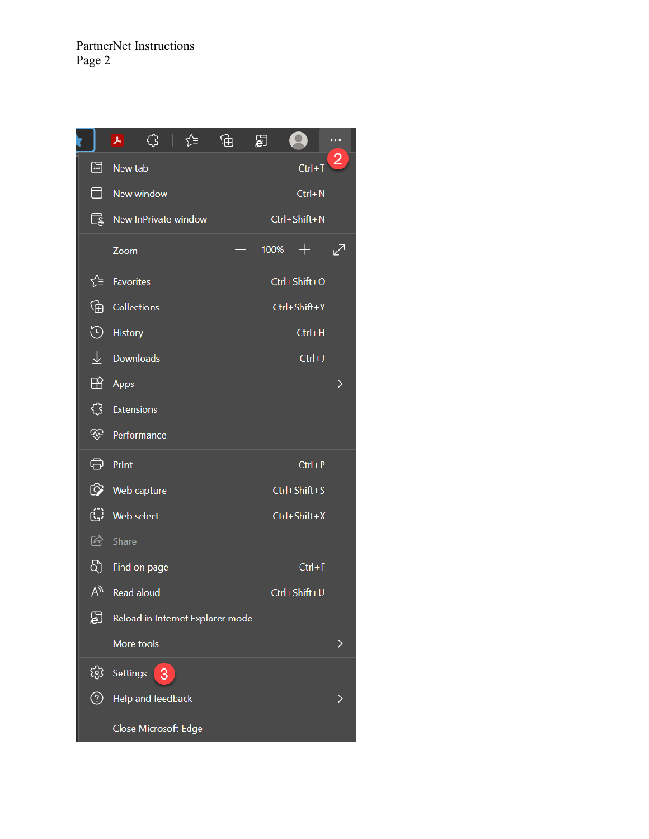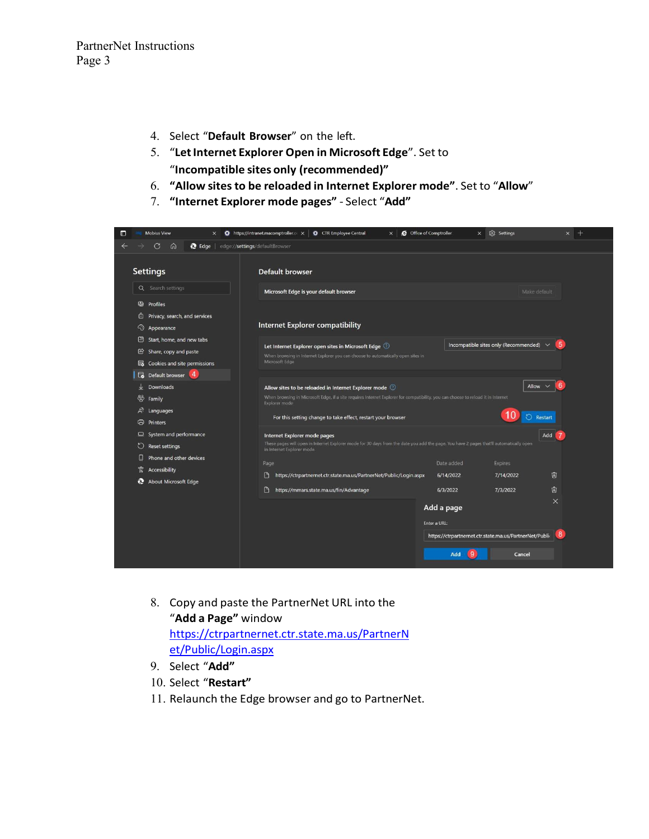- 4. Select "**Default Browser**" on the left.
- 5. "**LetInternet Explorer Open in Microsoft Edge**". Set to "**Incompatible sites only (recommended)"**
- 6. **"Allow sitesto be reloaded in Internet Explorer mode"**. Set to "**Allow**"
- 7. **"Internet Explorer mode pages"** Select "**Add"**



- 8. Copy and paste the PartnerNet URL into the "**Add a Page"** window [https://ctrpartnernet.ctr.state.ma.us/PartnerN](https://ctrpartnernet.ctr.state.ma.us/PartnerNet/Public/Login.aspx) [et/Public/Login.aspx](https://ctrpartnernet.ctr.state.ma.us/PartnerNet/Public/Login.aspx)
- 9. Select "**Add"**
- 10. Select "**Restart"**
- 11. Relaunch the Edge browser and go to PartnerNet.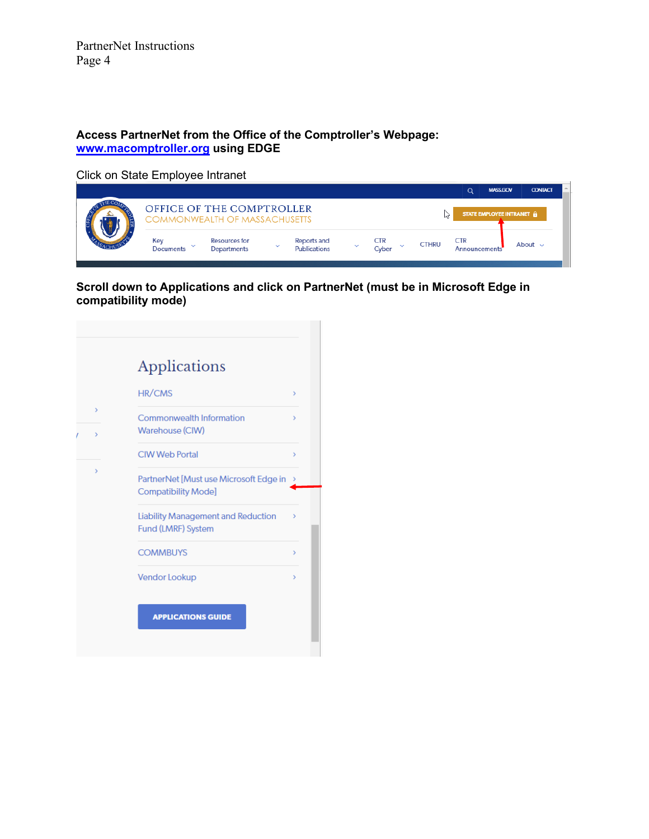PartnerNet Instructions Page 4

#### <span id="page-6-0"></span>**Access PartnerNet from the Office of the Comptroller's Webpage: [www.macomptroller.org](http://www.macomptroller.org/) using EDGE**

Click on State Employee Intranet

|                  |                                                                   |              |                                    |                     |              | Q                           | <b>MASS.GOV</b>           | <b>CONTACT</b> | $\Delta_{\rm c}$ |
|------------------|-------------------------------------------------------------------|--------------|------------------------------------|---------------------|--------------|-----------------------------|---------------------------|----------------|------------------|
|                  | OFFICE OF THE COMPTROLLER<br><b>COMMONWEALTH OF MASSACHUSETTS</b> |              |                                    |                     |              |                             | STATE EMPLOYEE INTRANET & |                |                  |
| Key<br>Documents | <b>Resources for</b><br>Departments                               | $\checkmark$ | Reports and<br><b>Publications</b> | <b>CTR</b><br>Cyber | <b>CTHRU</b> | <b>CTR</b><br>Announcements |                           | About $\sim$   |                  |

**Scroll down to Applications and click on PartnerNet (must be in Microsoft Edge in compatibility mode)** 

| <b>HR/CMS</b>                             |
|-------------------------------------------|
| <b>Commonwealth Information</b>           |
| Warehouse (CIW)                           |
| <b>CIW Web Portal</b>                     |
| PartnerNet [Must use Microsoft Edge in    |
| <b>Compatibility Mode]</b>                |
| <b>Liability Management and Reduction</b> |
| Fund (LMRF) System                        |
| <b>COMMBUYS</b>                           |
| Vendor Lookup                             |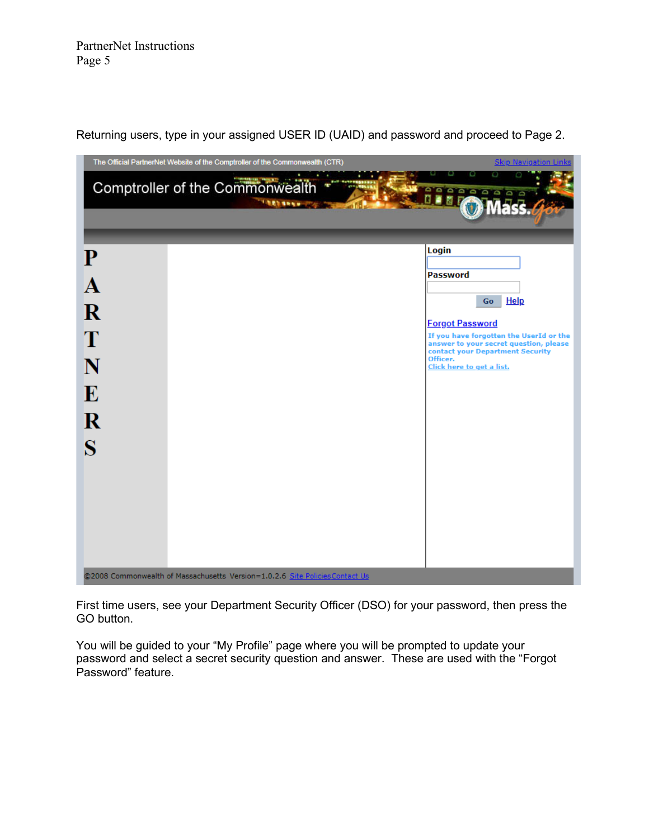

Returning users, type in your assigned USER ID (UAID) and password and proceed to Page 2.

First time users, see your Department Security Officer (DSO) for your password, then press the GO button.

You will be guided to your "My Profile" page where you will be prompted to update your password and select a secret security question and answer. These are used with the "Forgot Password" feature.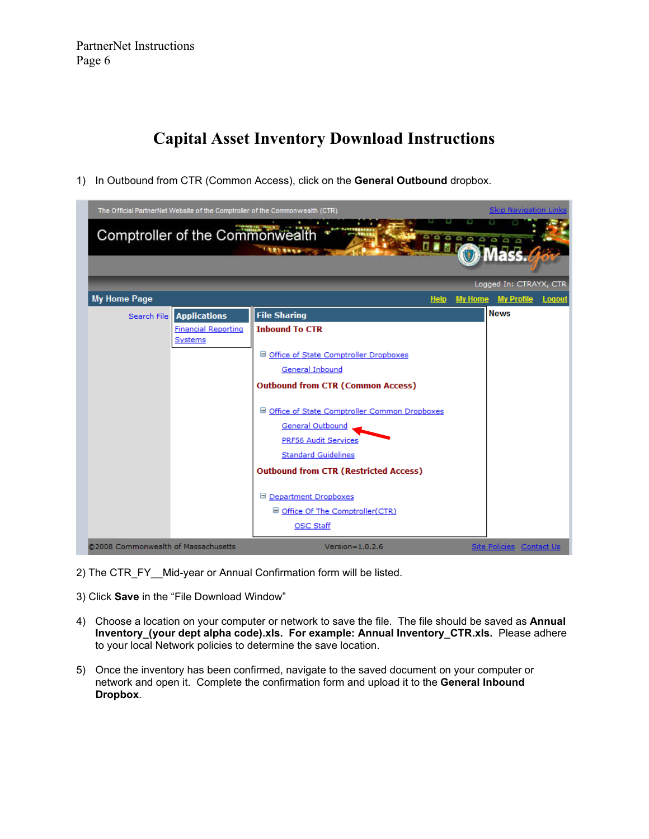### **Capital Asset Inventory Download Instructions**

1) In Outbound from CTR (Common Access), click on the **General Outbound** dropbox.



- 2) The CTR\_FY Mid-year or Annual Confirmation form will be listed.
- 3) Click **Save** in the "File Download Window"
- 4) Choose a location on your computer or network to save the file. The file should be saved as **Annual Inventory\_(your dept alpha code).xls. For example: Annual Inventory\_CTR.xls.** Please adhere to your local Network policies to determine the save location.
- 5) Once the inventory has been confirmed, navigate to the saved document on your computer or network and open it. Complete the confirmation form and upload it to the **General Inbound Dropbox**.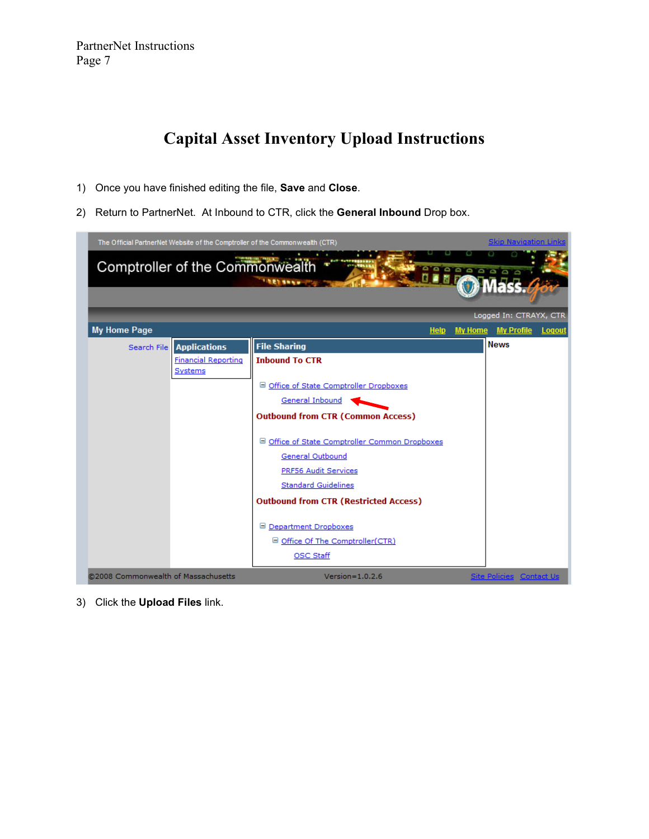PartnerNet Instructions Page 7

## **Capital Asset Inventory Upload Instructions**

- 1) Once you have finished editing the file, **Save** and **Close**.
- 2) Return to PartnerNet. At Inbound to CTR, click the **General Inbound** Drop box.

|                                     | Comptroller of the Commonwealth                                     | The Official PartnerNet Website of the Comptroller of the Commonwealth (CTR)<br><b>ARTHURS</b>                                                                                                                                                                                                                                                                                                                                     | e a a a a a a a a | <b>Skip Navigation Links</b><br>Logged In: CTRAYX, CTR |               |
|-------------------------------------|---------------------------------------------------------------------|------------------------------------------------------------------------------------------------------------------------------------------------------------------------------------------------------------------------------------------------------------------------------------------------------------------------------------------------------------------------------------------------------------------------------------|-------------------|--------------------------------------------------------|---------------|
| My Home Page                        |                                                                     | <b>Help</b>                                                                                                                                                                                                                                                                                                                                                                                                                        | <b>My Home</b>    | <b>My Profile</b>                                      | <b>Logout</b> |
| Search File                         | <b>Applications</b><br><b>Financial Reporting</b><br><u>Systems</u> | <b>File Sharing</b><br><b>Inbound To CTR</b><br>□ Office of State Comptroller Dropboxes<br><b>General Inbound</b><br><b>Outbound from CTR (Common Access)</b><br>□ Office of State Comptroller Common Dropboxes<br><b>General Outbound</b><br>PRF56 Audit Services<br><b>Standard Guidelines</b><br><b>Outbound from CTR (Restricted Access)</b><br>□ Department Dropboxes<br>□ Office Of The Comptroller(CTR)<br><b>OSC Staff</b> |                   | <b>News</b>                                            |               |
| @2008 Commonwealth of Massachusetts |                                                                     | $Version = 1.0.2.6$                                                                                                                                                                                                                                                                                                                                                                                                                |                   | <b>Site Policies Contact Us</b>                        |               |

3) Click the **Upload Files** link.